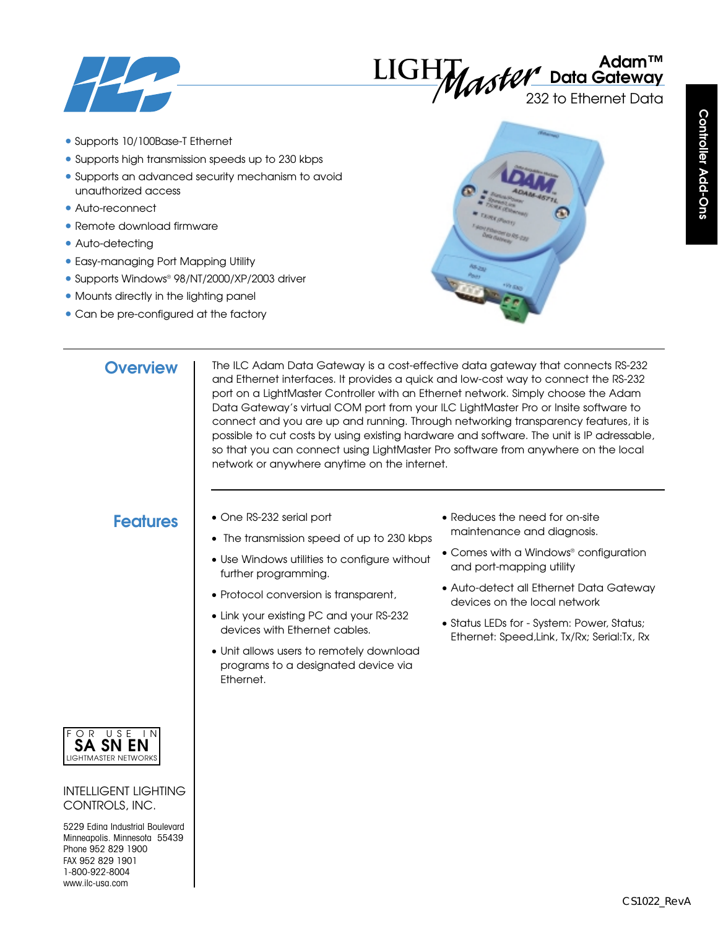

# **Adam™ Data Gateway**

232 to Ethernet Data

- Supports 10/100Base-T Ethernet
- Supports high transmission speeds up to 230 kbps
- Supports an advanced security mechanism to avoid unauthorized access
- Auto-reconnect
- Remote download firmware
- Auto-detecting
- Easy-managing Port Mapping Utility
- Supports Windows® 98/NT/2000/XP/2003 driver
- Mounts directly in the lighting panel
- Can be pre-configured at the factory



# **Controller Add-Ons Controller Add-Ons**

# **Overview**

The ILC Adam Data Gateway is a cost-effective data gateway that connects RS-232 and Ethernet interfaces. It provides a quick and low-cost way to connect the RS-232 port on a LightMaster Controller with an Ethernet network. Simply choose the Adam Data Gateway's virtual COM port from your ILC LightMaster Pro or Insite software to connect and you are up and running. Through networking transparency features, it is possible to cut costs by using existing hardware and software. The unit is IP adressable, so that you can connect using LightMaster Pro software from anywhere on the local network or anywhere anytime on the internet.

- **Features** One RS-232 serial port
	- The transmission speed of up to 230 kbps
	- Use Windows utilities to configure without further programming.
	- Protocol conversion is transparent,
	- Link your existing PC and your RS-232 devices with Ethernet cables.
	- Unit allows users to remotely download programs to a designated device via Ethernet.
- Reduces the need for on-site maintenance and diagnosis.
- Comes with a Windows® configuration and port-mapping utility
- Auto-detect all Ethernet Data Gateway devices on the local network
- Status LEDs for System: Power, Status; Ethernet: Speed,Link, Tx/Rx; Serial:Tx, Rx



INTELLIGENT LIGHTING CONTROLS, INC.

5229 Edina Industrial Boulevard Minneapolis. Minnesota 55439 Phone 952 829 1900 FAX 952 829 1901 1-800-922-8004 www.ilc-usa.com